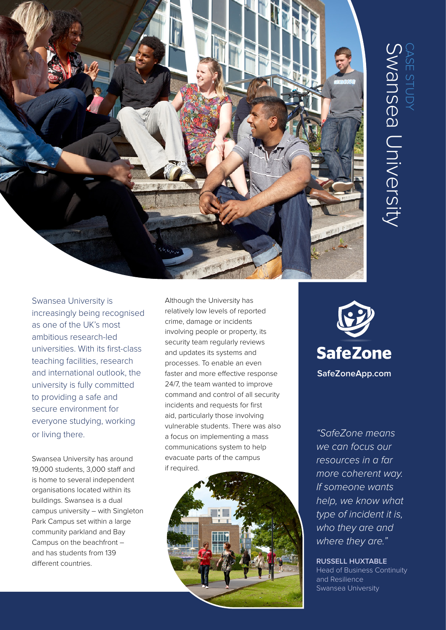

Swansea University is increasingly being recognised as one of the UK's most ambitious research-led universities. With its first-class teaching facilities, research and international outlook, the university is fully committed to providing a safe and secure environment for everyone studying, working or living there.

Swansea University has around 19,000 students, 3,000 staff and is home to several independent organisations located within its buildings. Swansea is a dual campus university – with Singleton Park Campus set within a large community parkland and Bay Campus on the beachfront – and has students from 139 different countries.

Although the University has relatively low levels of reported crime, damage or incidents involving people or property, its security team regularly reviews and updates its systems and processes. To enable an even faster and more effective response 24/7, the team wanted to improve command and control of all security incidents and requests for first aid, particularly those involving vulnerable students. There was also a focus on implementing a mass communications system to help evacuate parts of the campus if required.





*"SafeZone means we can focus our resources in a far more coherent way. If someone wants help, we know what type of incident it is, who they are and where they are."*

**RUSSELL HUXTABLE** Head of Business Continuity and Resilience Swansea University